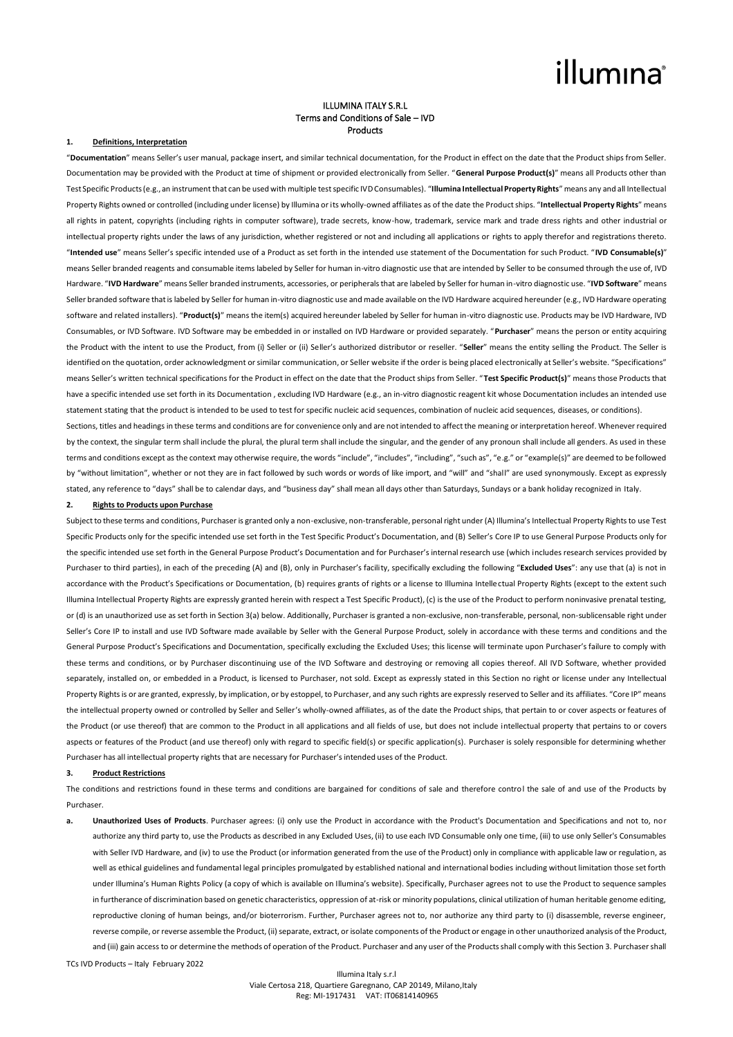#### ILLUMINA ITALY S.R.L Terms and Conditions of Sale – IVD Products

#### **1. Definitions, Interpretation**

"**Documentation**" means Seller's user manual, package insert, and similar technical documentation, for the Product in effect on the date that the Product ships from Seller. Documentation may be provided with the Product at time of shipment or provided electronically from Seller. "**General Purpose Product(s)**" means all Products other than Test Specific Products (e.g., an instrument that can be used with multiple test specific IVD Consumables). "**Illumina Intellectual Property Rights**" means any and all Intellectual Property Rights owned or controlled (including under license) by Illumina or its wholly-owned affiliates as of the date the Product ships. "**Intellectual Property Rights**" means all rights in patent, copyrights (including rights in computer software), trade secrets, know-how, trademark, service mark and trade dress rights and other industrial or intellectual property rights under the laws of any jurisdiction, whether registered or not and including all applications or rights to apply therefor and registrations thereto. "**Intended use**" means Seller's specific intended use of a Product as set forth in the intended use statement of the Documentation for such Product. "**IVD Consumable(s)**" means Seller branded reagents and consumable items labeled by Seller for human in-vitro diagnostic use that are intended by Seller to be consumed through the use of, IVD Hardware. "**IVD Hardware**" means Seller branded instruments, accessories, or peripherals that are labeled by Seller for human in-vitro diagnostic use. "**IVD Software**" means Seller branded software that is labeled by Seller for human in-vitro diagnostic use and made available on the IVD Hardware acquired hereunder (e.g., IVD Hardware operating software and related installers). "**Product(s)**" means the item(s) acquired hereunder labeled by Seller for human in-vitro diagnostic use. Products may be IVD Hardware, IVD Consumables, or IVD Software. IVD Software may be embedded in or installed on IVD Hardware or provided separately. "**Purchaser**" means the person or entity acquiring the Product with the intent to use the Product, from (i) Seller or (ii) Seller's authorized distributor or reseller. "**Seller**" means the entity selling the Product. The Seller is identified on the quotation, order acknowledgment or similar communication, or Seller website if the order is being placed electronically at Seller's website. "Specifications" means Seller's written technical specifications for the Product in effect on the date that the Product ships from Seller. "**Test Specific Product(s)**" means those Products that have a specific intended use set forth in its Documentation, excluding IVD Hardware (e.g., an in-vitro diagnostic reagent kit whose Documentation includes an intended use statement stating that the product is intended to be used to test for specific nucleic acid sequences, combination of nucleic acid sequences, diseases, or conditions).

Sections, titles and headings in these terms and conditions are for convenience only and are not intended to affect the meaning or interpretation hereof. Whenever required by the context, the singular term shall include the plural, the plural term shall include the singular, and the gender of any pronoun shall include all genders. As used in these terms and conditions except as the context may otherwise require, the words "include", "includes", "including", "such as", "e.g." or "example(s)" are deemed to be followed by "without limitation", whether or not they are in fact followed by such words or words of like import, and "will" and "shall" are used synonymously. Except as expressly stated, any reference to "days" shall be to calendar days, and "business day" shall mean all days other than Saturdays, Sundays or a bank holiday recognized in Italy.

#### **2. Rights to Products upon Purchase**

Subject to these terms and conditions, Purchaser is granted only a non-exclusive, non-transferable, personal right under (A) Illumina's Intellectual Property Rights to use Test Specific Products only for the specific intended use set forth in the Test Specific Product's Documentation, and (B) Seller's Core IP to use General Purpose Products only for the specific intended use set forth in the General Purpose Product's Documentation and for Purchaser's internal research use (which includes research services provided by Purchaser to third parties), in each of the preceding (A) and (B), only in Purchaser's facility, specifically excluding the following "**Excluded Uses**": any use that (a) is not in accordance with the Product's Specifications or Documentation, (b) requires grants of rights or a license to Illumina Intellectual Property Rights (except to the extent such Illumina Intellectual Property Rights are expressly granted herein with respect a Test Specific Product), (c) is the use of the Product to perform noninvasive prenatal testing, or (d) is an unauthorized use as set forth in Section 3(a) below. Additionally, Purchaser is granted a non-exclusive, non-transferable, personal, non-sublicensable right under Seller's Core IP to install and use IVD Software made available by Seller with the General Purpose Product, solely in accordance with these terms and conditions and the General Purpose Product's Specifications and Documentation, specifically excluding the Excluded Uses; this license will terminate upon Purchaser's failure to comply with these terms and conditions, or by Purchaser discontinuing use of the IVD Software and destroying or removing all copies thereof. All IVD Software, whether provided separately, installed on, or embedded in a Product, is licensed to Purchaser, not sold. Except as expressly stated in this Section no right or license under any Intellectual Property Rights is or are granted, expressly, by implication, or by estoppel, to Purchaser, and any such rights are expressly reserved to Seller and its affiliates. "Core IP" means the intellectual property owned or controlled by Seller and Seller's wholly-owned affiliates, as of the date the Product ships, that pertain to or cover aspects or features of the Product (or use thereof) that are common to the Product in all applications and all fields of use, but does not include intellectual property that pertains to or covers aspects or features of the Product (and use thereof) only with regard to specific field(s) or specific application(s). Purchaser is solely responsible for determining whether Purchaser has all intellectual property rights that are necessary for Purchaser's intended uses of the Product.

#### **3. Product Restrictions**

The conditions and restrictions found in these terms and conditions are bargained for conditions of sale and therefore control the sale of and use of the Products by Purchaser.

TCs IVD Products – Italy February 2022 **a. Unauthorized Uses of Products**. Purchaser agrees: (i) only use the Product in accordance with the Product's Documentation and Specifications and not to, nor authorize any third party to, use the Products as described in any Excluded Uses, (ii) to use each IVD Consumable only one time, (iii) to use only Seller's Consumables with Seller IVD Hardware, and (iv) to use the Product (or information generated from the use of the Product) only in compliance with applicable law or regulation, as well as ethical guidelines and fundamental legal principles promulgated by established national and international bodies including without limitation those set forth under Illumina's Human Rights Policy (a copy of which is available on Illumina's website). Specifically, Purchaser agrees not to use the Product to sequence samples in furtherance of discrimination based on genetic characteristics, oppression of at-risk or minority populations, clinical utilization of human heritable genome editing. reproductive cloning of human beings, and/or bioterrorism. Further, Purchaser agrees not to, nor authorize any third party to (i) disassemble, reverse engineer, reverse compile, or reverse assemble the Product, (ii) separate, extract, or isolate components of the Product or engage in other unauthorized analysis of the Product, and (iii) gain access to or determine the methods of operation of the Product. Purchaser and any user of the Products shall comply with this Section 3. Purchaser shall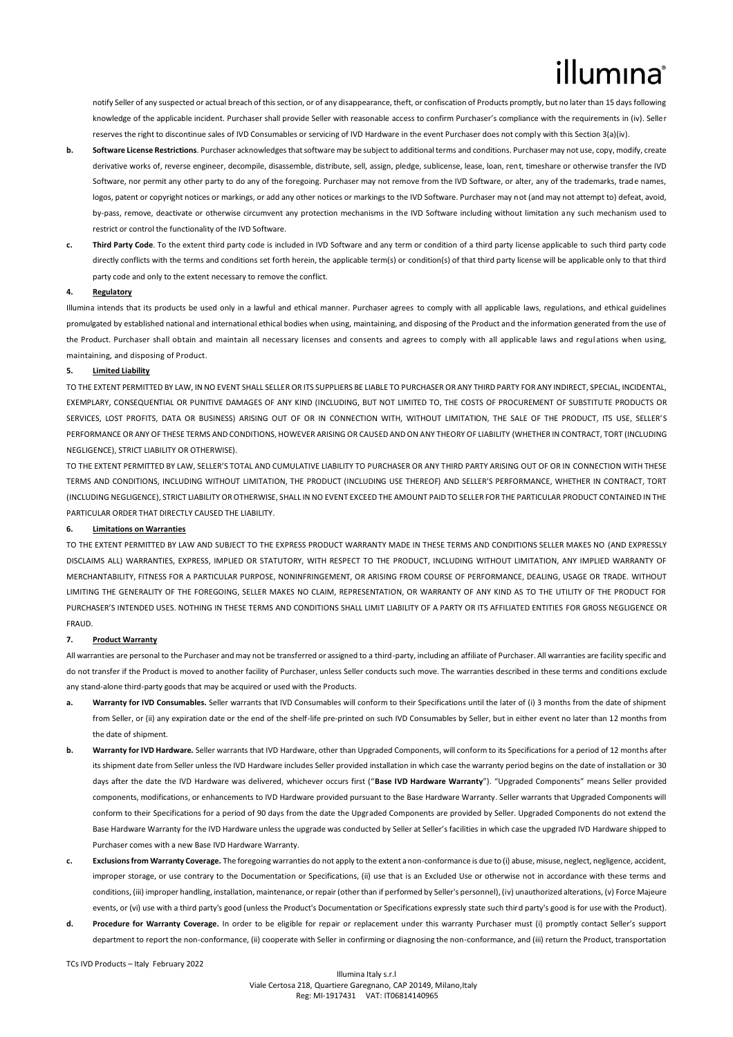notify Seller of any suspected or actual breach of this section, or of any disappearance, theft, or confiscation of Products promptly, but no later than 15 days following knowledge of the applicable incident. Purchaser shall provide Seller with reasonable access to confirm Purchaser's compliance with the requirements in (iv). Seller reserves the right to discontinue sales of IVD Consumables or servicing of IVD Hardware in the event Purchaser does not comply with this Section 3(a)(iv).

- **b. Software License Restrictions**. Purchaser acknowledges that software may be subject to additional terms and conditions. Purchaser may not use, copy, modify, create derivative works of, reverse engineer, decompile, disassemble, distribute, sell, assign, pledge, sublicense, lease, loan, rent, timeshare or otherwise transfer the IVD Software, nor permit any other party to do any of the foregoing. Purchaser may not remove from the IVD Software, or alter, any of the trademarks, trade names, logos, patent or copyright notices or markings, or add any other notices or markings to the IVD Software. Purchaser may not (and may not attempt to) defeat, avoid, by-pass, remove, deactivate or otherwise circumvent any protection mechanisms in the IVD Software including without limitation any such mechanism used to restrict or control the functionality of the IVD Software.
- **c. Third Party Code**. To the extent third party code is included in IVD Software and any term or condition of a third party license applicable to such third party code directly conflicts with the terms and conditions set forth herein, the applicable term(s) or condition(s) of that third party license will be applicable only to that third party code and only to the extent necessary to remove the conflict.

#### **4. Regulatory**

Illumina intends that its products be used only in a lawful and ethical manner. Purchaser agrees to comply with all applicable laws, regulations, and ethical guidelines promulgated by established national and international ethical bodies when using, maintaining, and disposing of the Product and the information generated from the use of the Product. Purchaser shall obtain and maintain all necessary licenses and consents and agrees to comply with all applicable laws and regul ations when using, maintaining, and disposing of Product.

### **5. Limited Liability**

TO THE EXTENT PERMITTED BY LAW, IN NO EVENT SHALL SELLER OR ITS SUPPLIERS BE LIABLE TO PURCHASER OR ANY THIRD PARTY FOR ANY INDIRECT, SPECIAL, INCIDENTAL, EXEMPLARY, CONSEQUENTIAL OR PUNITIVE DAMAGES OF ANY KIND (INCLUDING, BUT NOT LIMITED TO, THE COSTS OF PROCUREMENT OF SUBSTITUTE PRODUCTS OR SERVICES, LOST PROFITS, DATA OR BUSINESS) ARISING OUT OF OR IN CONNECTION WITH, WITHOUT LIMITATION, THE SALE OF THE PRODUCT, ITS USE, SELLER'S PERFORMANCE OR ANY OF THESE TERMS AND CONDITIONS, HOWEVER ARISING OR CAUSED AND ON ANY THEORY OF LIABILITY (WHETHER IN CONTRACT, TORT (INCLUDING NEGLIGENCE), STRICT LIABILITY OR OTHERWISE).

TO THE EXTENT PERMITTED BY LAW, SELLER'S TOTAL AND CUMULATIVE LIABILITY TO PURCHASER OR ANY THIRD PARTY ARISING OUT OF OR IN CONNECTION WITH THESE TERMS AND CONDITIONS, INCLUDING WITHOUT LIMITATION, THE PRODUCT (INCLUDING USE THEREOF) AND SELLER'S PERFORMANCE, WHETHER IN CONTRACT, TORT (INCLUDING NEGLIGENCE), STRICT LIABILITY OR OTHERWISE, SHALL IN NO EVENT EXCEED THE AMOUNT PAID TO SELLER FOR THE PARTICULAR PRODUCT CONTAINED IN THE PARTICULAR ORDER THAT DIRECTLY CAUSED THE LIABILITY.

#### **6. Limitations on Warranties**

TO THE EXTENT PERMITTED BY LAW AND SUBJECT TO THE EXPRESS PRODUCT WARRANTY MADE IN THESE TERMS AND CONDITIONS SELLER MAKES NO (AND EXPRESSLY DISCLAIMS ALL) WARRANTIES, EXPRESS, IMPLIED OR STATUTORY, WITH RESPECT TO THE PRODUCT, INCLUDING WITHOUT LIMITATION, ANY IMPLIED WARRANTY OF MERCHANTABILITY, FITNESS FOR A PARTICULAR PURPOSE, NONINFRINGEMENT, OR ARISING FROM COURSE OF PERFORMANCE, DEALING, USAGE OR TRADE, WITHOUT LIMITING THE GENERALITY OF THE FOREGOING, SELLER MAKES NO CLAIM, REPRESENTATION, OR WARRANTY OF ANY KIND AS TO THE UTILITY OF THE PRODUCT FOR PURCHASER'S INTENDED USES. NOTHING IN THESE TERMS AND CONDITIONS SHALL LIMIT LIABILITY OF A PARTY OR ITS AFFILIATED ENTITIES FOR GROSS NEGLIGENCE OR FRAUD.

#### **7. Product Warranty**

All warranties are personal to the Purchaser and may not be transferred or assigned to a third-party, including an affiliate of Purchaser. All warranties are facility specific and do not transfer if the Product is moved to another facility of Purchaser, unless Seller conducts such move. The warranties described in these terms and conditions exclude any stand-alone third-party goods that may be acquired or used with the Products.

- **a. Warranty for IVD Consumables.** Seller warrants that IVD Consumables will conform to their Specifications until the later of (i) 3 months from the date of shipment from Seller, or (ii) any expiration date or the end of the shelf-life pre-printed on such IVD Consumables by Seller, but in either event no later than 12 months from the date of shipment.
- **b.** Warranty for IVD Hardware. Seller warrants that IVD Hardware, other than Upgraded Components, will conform to its Specifications for a period of 12 months after its shipment date from Seller unless the IVD Hardware includes Seller provided installation in which case the warranty period begins on the date of installation or 30 days after the date the IVD Hardware was delivered, whichever occurs first ("**Base IVD Hardware Warranty**"). "Upgraded Components" means Seller provided components, modifications, or enhancements to IVD Hardware provided pursuant to the Base Hardware Warranty. Seller warrants that Upgraded Components will conform to their Specifications for a period of 90 days from the date the Upgraded Components are provided by Seller. Upgraded Components do not extend the Base Hardware Warranty for the IVD Hardware unless the upgrade was conducted by Seller at Seller's facilities in which case the upgraded IVD Hardware shipped to Purchaser comes with a new Base IVD Hardware Warranty.
- **c. Exclusions from Warranty Coverage.** The foregoing warranties do not apply to the extent a non-conformance is due to (i) abuse, misuse, neglect, negligence, accident, improper storage, or use contrary to the Documentation or Specifications, (ii) use that is an Excluded Use or otherwise not in accordance with these terms and conditions, (iii) improper handling, installation, maintenance, or repair (other than if performed by Seller's personnel), (iv) unauthorized alterations, (v) Force Majeure events, or (vi) use with a third party's good (unless the Product's Documentation or Specifications expressly state such third party's good is for use with the Product).
- **d. Procedure for Warranty Coverage.** In order to be eligible for repair or replacement under this warranty Purchaser must (i) promptly contact Seller's support department to report the non-conformance, (ii) cooperate with Seller in confirming or diagnosing the non-conformance, and (iii) return the Product, transportation

TCs IVD Products – Italy February 2022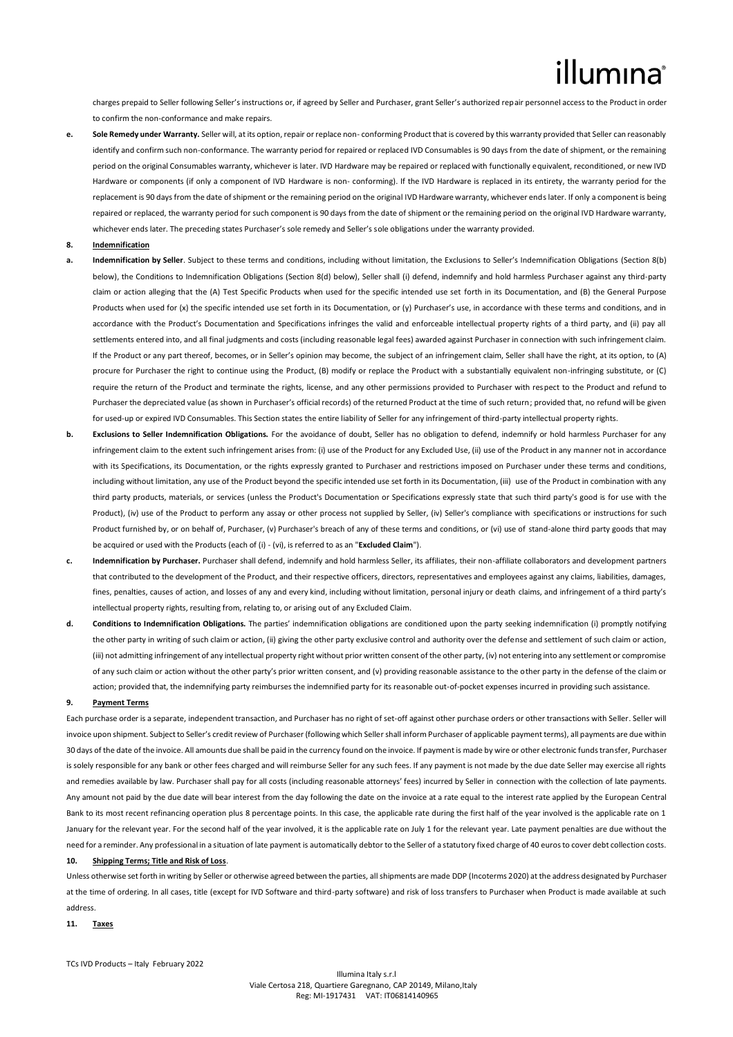charges prepaid to Seller following Seller's instructions or, if agreed by Seller and Purchaser, grant Seller's authorized repair personnel access to the Product in order to confirm the non-conformance and make repairs.

- **e. Sole Remedy under Warranty.** Seller will, at its option, repair or replace non- conforming Product that is covered by this warranty provided that Seller can reasonably identify and confirm such non-conformance. The warranty period for repaired or replaced IVD Consumables is 90 days from the date of shipment, or the remaining period on the original Consumables warranty, whichever is later. IVD Hardware may be repaired or replaced with functionally equivalent, reconditioned, or new IVD Hardware or components (if only a component of IVD Hardware is non- conforming). If the IVD Hardware is replaced in its entirety, the warranty period for the replacement is 90 days from the date of shipment or the remaining period on the original IVD Hardware warranty, whichever ends later. If only a component is being repaired or replaced, the warranty period for such component is 90 days from the date of shipment or the remaining period on the original IVD Hardware warranty, whichever ends later. The preceding states Purchaser's sole remedy and Seller's sole obligations under the warranty provided.
- **8. Indemnification**
- **a. Indemnification by Seller**. Subject to these terms and conditions, including without limitation, the Exclusions to Seller's Indemnification Obligations (Section 8(b) below), the Conditions to Indemnification Obligations (Section 8(d) below), Seller shall (i) defend, indemnify and hold harmless Purchaser against any third-party claim or action alleging that the (A) Test Specific Products when used for the specific intended use set forth in its Documentation, and (B) the General Purpose Products when used for (x) the specific intended use set forth in its Documentation, or (y) Purchaser's use, in accordance with these terms and conditions, and in accordance with the Product's Documentation and Specifications infringes the valid and enforceable intellectual property rights of a third party, and (ii) pay all settlements entered into, and all final judgments and costs (including reasonable legal fees) awarded against Purchaser in connection with such infringement claim. If the Product or any part thereof, becomes, or in Seller's opinion may become, the subject of an infringement claim, Seller shall have the right, at its option, to (A) procure for Purchaser the right to continue using the Product, (B) modify or replace the Product with a substantially equivalent non-infringing substitute, or (C) require the return of the Product and terminate the rights, license, and any other permissions provided to Purchaser with respect to the Product and refund to Purchaser the depreciated value (as shown in Purchaser's official records) of the returned Product at the time of such return; provided that, no refund will be given for used-up or expired IVD Consumables. This Section states the entire liability of Seller for any infringement of third-party intellectual property rights.
- **b. Exclusions to Seller Indemnification Obligations.** For the avoidance of doubt, Seller has no obligation to defend, indemnify or hold harmless Purchaser for any infringement claim to the extent such infringement arises from: (i) use of the Product for any Excluded Use, (ii) use of the Product in any manner not in accordance with its Specifications, its Documentation, or the rights expressly granted to Purchaser and restrictions imposed on Purchaser under these terms and conditions, including without limitation, any use of the Product beyond the specific intended use set forth in its Documentation, (iii) use of the Product in combination with any third party products, materials, or services (unless the Product's Documentation or Specifications expressly state that such third party's good is for use with the Product), (iv) use of the Product to perform any assay or other process not supplied by Seller, (iv) Seller's compliance with specifications or instructions for such Product furnished by, or on behalf of, Purchaser, (v) Purchaser's breach of any of these terms and conditions, or (vi) use of stand-alone third party goods that may be acquired or used with the Products (each of (i) - (vi), is referred to as an "**Excluded Claim**").
- **c. Indemnification by Purchaser.** Purchaser shall defend, indemnify and hold harmless Seller, its affiliates, their non-affiliate collaborators and development partners that contributed to the development of the Product, and their respective officers, directors, representatives and employees against any claims, liabilities, damages, fines, penalties, causes of action, and losses of any and every kind, including without limitation, personal injury or death claims, and infringement of a third party's intellectual property rights, resulting from, relating to, or arising out of any Excluded Claim.
- **d. Conditions to Indemnification Obligations.** The parties' indemnification obligations are conditioned upon the party seeking indemnification (i) promptly notifying the other party in writing of such claim or action, (ii) giving the other party exclusive control and authority over the defense and settlement of such claim or action, (iii) not admitting infringement of any intellectual property right without prior written consent of the other party, (iv) not entering into any settlement or compromise of any such claim or action without the other party's prior written consent, and (v) providing reasonable assistance to the other party in the defense of the claim or action; provided that, the indemnifying party reimburses the indemnified party for its reasonable out-of-pocket expenses incurred in providing such assistance.

#### **9. Payment Terms**

Each purchase order is a separate, independent transaction, and Purchaser has no right of set-off against other purchase orders or other transactions with Seller. Seller will invoice upon shipment. Subject to Seller's credit review of Purchaser (following which Seller shall inform Purchaser of applicable payment terms), all payments are due within 30 days of the date of the invoice. All amounts due shall be paid in the currency found on the invoice. If payment is made by wire or other electronic funds transfer, Purchaser is solely responsible for any bank or other fees charged and will reimburse Seller for any such fees. If any payment is not made by the due date Seller may exercise all rights and remedies available by law. Purchaser shall pay for all costs (including reasonable attorneys' fees) incurred by Seller in connection with the collection of late payments. Any amount not paid by the due date will bear interest from the day following the date on the invoice at a rate equal to the interest rate applied by the European Central Bank to its most recent refinancing operation plus 8 percentage points. In this case, the applicable rate during the first half of the year involved is the applicable rate on 1 January for the relevant year. For the second half of the year involved, it is the applicable rate on July 1 for the relevant year. Late payment penalties are due without the need for a reminder. Any professional in a situation of late payment is automatically debtor to the Seller of a statutory fixed charge of 40 euros to cover debt collection costs. **10. Shipping Terms; Title and Risk of Loss**.

Unless otherwise set forth in writing by Seller or otherwise agreed between the parties, all shipments are made DDP (Incoterms 2020) at the address designated by Purchaser at the time of ordering. In all cases, title (except for IVD Software and third-party software) and risk of loss transfers to Purchaser when Product is made available at such address.

**11. Taxes**

TCs IVD Products – Italy February 2022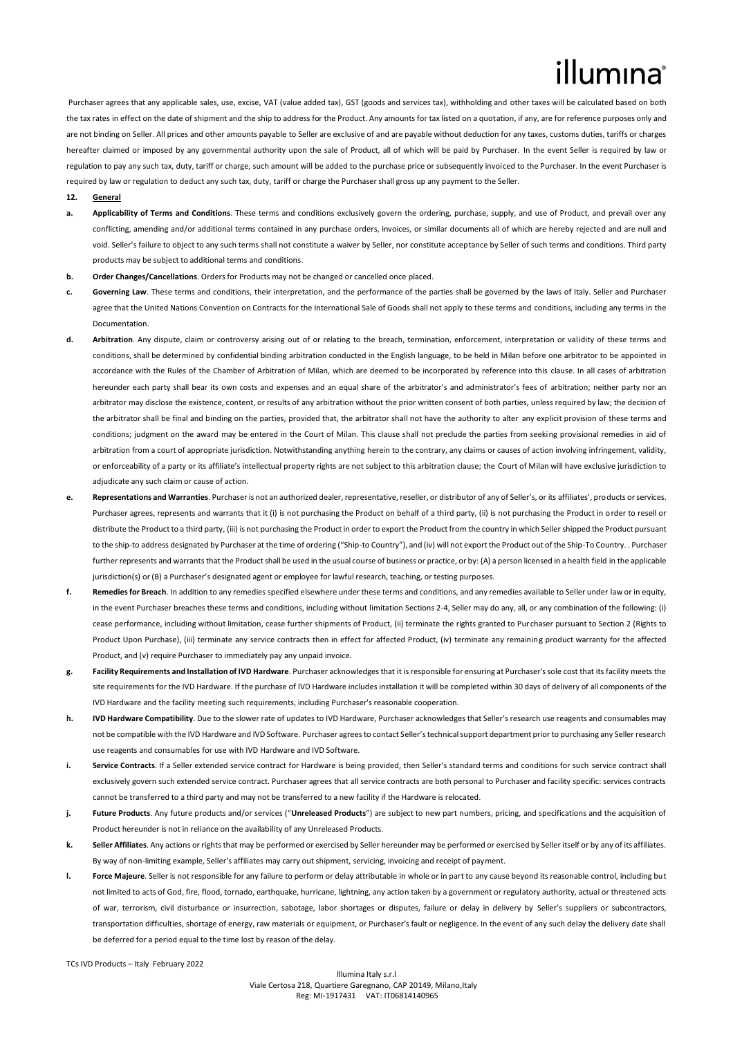Purchaser agrees that any applicable sales, use, excise, VAT (value added tax), GST (goods and services tax), withholding and other taxes will be calculated based on both the tax rates in effect on the date of shipment and the ship to address for the Product. Any amounts for tax listed on a quotation, if any, are for reference purposes only and are not binding on Seller. All prices and other amounts payable to Seller are exclusive of and are payable without deduction for any taxes, customs duties, tariffs or charges hereafter claimed or imposed by any governmental authority upon the sale of Product, all of which will be paid by Purchaser. In the event Seller is required by law or regulation to pay any such tax, duty, tariff or charge, such amount will be added to the purchase price or subsequently invoiced to the Purchaser. In the event Purchaser is required by law or regulation to deduct any such tax, duty, tariff or charge the Purchaser shall gross up any payment to the Seller.

#### **12. General**

- **a. Applicability of Terms and Conditions**. These terms and conditions exclusively govern the ordering, purchase, supply, and use of Product, and prevail over any conflicting, amending and/or additional terms contained in any purchase orders, invoices, or similar documents all of which are hereby rejected and are null and void. Seller's failure to object to any such terms shall not constitute a waiver by Seller, nor constitute acceptance by Seller of such terms and conditions. Third party products may be subject to additional terms and conditions.
- **b. Order Changes/Cancellations**. Orders for Products may not be changed or cancelled once placed.
- **c. Governing Law**. These terms and conditions, their interpretation, and the performance of the parties shall be governed by the laws of Italy. Seller and Purchaser agree that the United Nations Convention on Contracts for the International Sale of Goods shall not apply to these terms and conditions, including any terms in the Documentation.
- **d. Arbitration**. Any dispute, claim or controversy arising out of or relating to the breach, termination, enforcement, interpretation or validity of these terms and conditions, shall be determined by confidential binding arbitration conducted in the English language, to be held in Milan before one arbitrator to be appointed in accordance with the Rules of the Chamber of Arbitration of Milan, which are deemed to be incorporated by reference into this clause. In all cases of arbitration hereunder each party shall bear its own costs and expenses and an equal share of the arbitrator's and administrator's fees of arbitration; neither party nor an arbitrator may disclose the existence, content, or results of any arbitration without the prior written consent of both parties, unless required by law; the decision of the arbitrator shall be final and binding on the parties, provided that, the arbitrator shall not have the authority to alter any explicit provision of these terms and conditions; judgment on the award may be entered in the Court of Milan. This clause shall not preclude the parties from seeking provisional remedies in aid of arbitration from a court of appropriate jurisdiction. Notwithstanding anything herein to the contrary, any claims or causes of action involving infringement, validity, or enforceability of a party or its affiliate's intellectual property rights are not subject to this arbitration clause; the Court of Milan will have exclusive jurisdiction to adjudicate any such claim or cause of action.
- **e. Representations and Warranties**. Purchaser is not an authorized dealer, representative, reseller, or distributor of any of Seller's, or its affiliates', products or services. Purchaser agrees, represents and warrants that it (i) is not purchasing the Product on behalf of a third party, (ii) is not purchasing the Product in order to resell or distribute the Product to a third party, (iii) is not purchasing the Product in order to export the Product from the country in which Seller shipped the Product pursuant to the ship-to address designated by Purchaser at the time of ordering ("Ship-to Country"), and (iv) will not export the Product out of the Ship-To Country. . Purchaser further represents and warrants that the Product shall be used in the usual course of business or practice, or by: (A) a person licensed in a health field in the applicable jurisdiction(s) or (B) a Purchaser's designated agent or employee for lawful research, teaching, or testing purposes.
- **f. Remedies for Breach**. In addition to any remedies specified elsewhere under these terms and conditions, and any remedies available to Seller under law or in equity, in the event Purchaser breaches these terms and conditions, including without limitation Sections 2-4, Seller may do any, all, or any combination of the following: (i) cease performance, including without limitation, cease further shipments of Product, (ii) terminate the rights granted to Purchaser pursuant to Section 2 (Rights to Product Upon Purchase), (iii) terminate any service contracts then in effect for affected Product, (iv) terminate any remaining product warranty for the affected Product, and (v) require Purchaser to immediately pay any unpaid invoice.
- **g. Facility Requirements and Installation of IVD Hardware**. Purchaser acknowledges that it is responsible for ensuring at Purchaser's sole cost that its facility meets the site requirements for the IVD Hardware. If the purchase of IVD Hardware includes installation it will be completed within 30 days of delivery of all components of the IVD Hardware and the facility meeting such requirements, including Purchaser's reasonable cooperation.
- **h. IVD Hardware Compatibility**. Due to the slower rate of updates to IVD Hardware, Purchaser acknowledges that Seller's research use reagents and consumables may not be compatible with the IVD Hardware and IVD Software. Purchaser agrees to contact Seller's technical support department prior to purchasing any Seller research use reagents and consumables for use with IVD Hardware and IVD Software.
- **i.** Service Contracts, If a Seller extended service contract for Hardware is being provided, then Seller's standard terms and conditions for such service contract shall exclusively govern such extended service contract. Purchaser agrees that all service contracts are both personal to Purchaser and facility specific: services contracts cannot be transferred to a third party and may not be transferred to a new facility if the Hardware is relocated.
- **j. Future Products**. Any future products and/or services ("**Unreleased Products**") are subject to new part numbers, pricing, and specifications and the acquisition of Product hereunder is not in reliance on the availability of any Unreleased Products.
- **k. Seller Affiliates**. Any actions or rights that may be performed or exercised by Seller hereunder may be performed or exercised by Seller itself or by any of its affiliates. By way of non-limiting example, Seller's affiliates may carry out shipment, servicing, invoicing and receipt of payment.
- **l. Force Majeure**. Seller is not responsible for any failure to perform or delay attributable in whole or in part to any cause beyond its reasonable control, including but not limited to acts of God, fire, flood, tornado, earthquake, hurricane, lightning, any action taken by a government or regulatory authority, actual or threatened acts of war, terrorism, civil disturbance or insurrection, sabotage, labor shortages or disputes, failure or delay in delivery by Seller's suppliers or subcontractors, transportation difficulties, shortage of energy, raw materials or equipment, or Purchaser's fault or negligence. In the event of any such delay the delivery date shall be deferred for a period equal to the time lost by reason of the delay.

TCs IVD Products – Italy February 2022